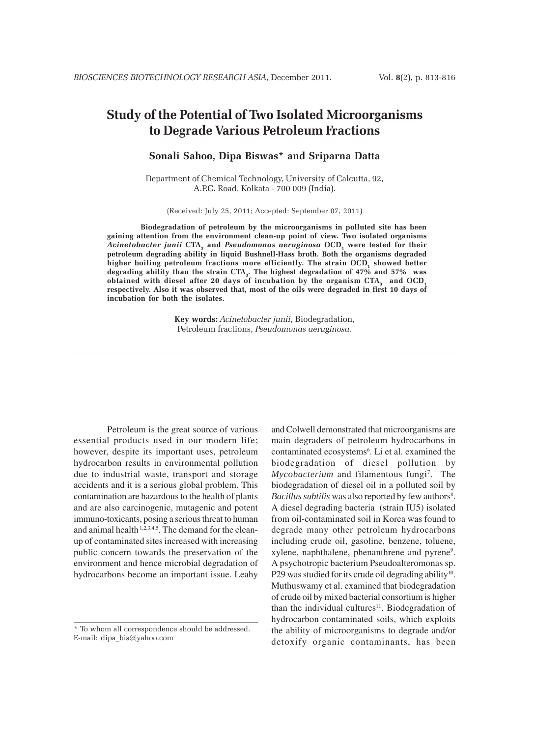# **Study of the Potential of Two Isolated Microorganisms to Degrade Various Petroleum Fractions**

# **Sonali Sahoo, Dipa Biswas\* and Sriparna Datta**

Department of Chemical Technology, University of Calcutta, 92, A.P.C. Road, Kolkata - 700 009 (India).

(Received: July 25, 2011; Accepted: September 07, 2011)

**Biodegradation of petroleum by the microorganisms in polluted site has been gaining attention from the environment clean-up point of view. Two isolated organisms** Acinetobacter junii CTA<sub>3</sub> and *Pseudomonas aeruginosa* OCD<sub>1</sub> were tested for their **petroleum degrading ability in liquid Bushnell-Hass broth. Both the organisms degraded** higher boiling petroleum fractions more efficiently. The strain OCD, showed better **degrading ability than the strain CTA3. The highest degradation of 47% and 57% was** obtained with diesel after 20 days of incubation by the organism CTA<sub>3</sub> and OCD<sub>1</sub> **respectively. Also it was observed that, most of the oils were degraded in first 10 days of incubation for both the isolates.**

> **Key words:** *Acinetobacter junii*, Biodegradation, Petroleum fractions, *Pseudomonas aeruginosa.*

Petroleum is the great source of various essential products used in our modern life; however, despite its important uses, petroleum hydrocarbon results in environmental pollution due to industrial waste, transport and storage accidents and it is a serious global problem. This contamination are hazardous to the health of plants and are also carcinogenic, mutagenic and potent immuno-toxicants, posing a serious threat to human and animal health <sup>1,2,3,4,5</sup>. The demand for the cleanup of contaminated sites increased with increasing public concern towards the preservation of the environment and hence microbial degradation of hydrocarbons become an important issue. Leahy

and Colwell demonstrated that microorganisms are main degraders of petroleum hydrocarbons in contaminated ecosystems<sup>6</sup>. Li et al. examined the biodegradation of diesel pollution by Mycobacterium and filamentous fungi<sup>7</sup>. The biodegradation of diesel oil in a polluted soil by Bacillus subtilis was also reported by few authors<sup>8</sup>. A diesel degrading bacteria (strain IU5) isolated from oil-contaminated soil in Korea was found to degrade many other petroleum hydrocarbons including crude oil, gasoline, benzene, toluene, xylene, naphthalene, phenanthrene and pyrene<sup>9</sup>. A psychotropic bacterium Pseudoalteromonas sp. P29 was studied for its crude oil degrading ability<sup>10</sup>. Muthuswamy et al. examined that biodegradation of crude oil by mixed bacterial consortium is higher than the individual cultures<sup>11</sup>. Biodegradation of hydrocarbon contaminated soils, which exploits the ability of microorganisms to degrade and/or detoxify organic contaminants, has been

<sup>\*</sup> To whom all correspondence should be addressed. E-mail: dipa\_bis@yahoo.com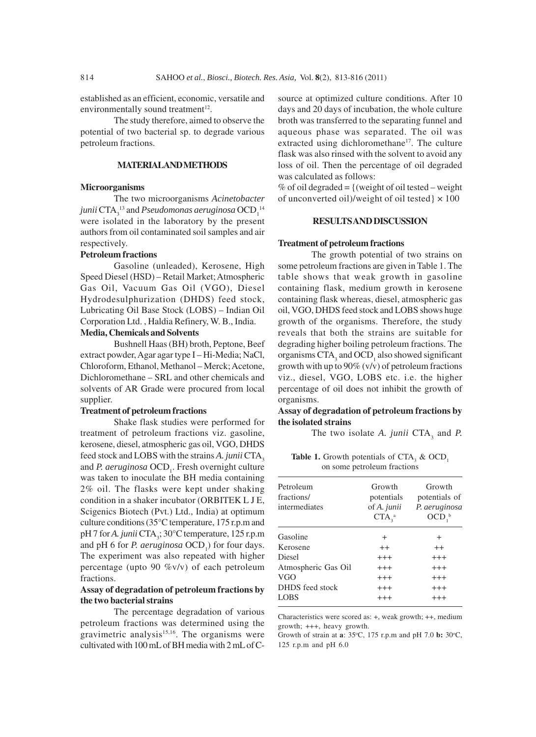established as an efficient, economic, versatile and environmentally sound treatment<sup>12</sup>.

The study therefore, aimed to observe the potential of two bacterial sp. to degrade various petroleum fractions.

## **MATERIAL AND METHODS**

## **Microorganisms**

The two microorganisms *Acinetobacter* junii  $\mathrm{CTA}_3^{-13}$  and  $P$ seudomonas aeruginosa  $\mathrm{OCD}_1^{-14}$ were isolated in the laboratory by the present authors from oil contaminated soil samples and air respectively.

## **Petroleum fractions**

Gasoline (unleaded), Kerosene, High Speed Diesel (HSD) – Retail Market; Atmospheric Gas Oil, Vacuum Gas Oil (VGO), Diesel Hydrodesulphurization (DHDS) feed stock, Lubricating Oil Base Stock (LOBS) – Indian Oil Corporation Ltd. , Haldia Refinery, W. B., India.

## **Media, Chemicals and Solvents**

Bushnell Haas (BH) broth, Peptone, Beef extract powder, Agar agar type I – Hi-Media; NaCl, Chloroform, Ethanol, Methanol – Merck; Acetone, Dichloromethane – SRL and other chemicals and solvents of AR Grade were procured from local supplier.

## **Treatment of petroleum fractions**

Shake flask studies were performed for treatment of petroleum fractions viz. gasoline, kerosene, diesel, atmospheric gas oil, VGO, DHDS feed stock and LOBS with the strains *A. junii* CTA<sub>3</sub> and *P. aeruginosa* OCD<sub>1</sub>. Fresh overnight culture was taken to inoculate the BH media containing 2% oil. The flasks were kept under shaking condition in a shaker incubator (ORBITEK L J E, Scigenics Biotech (Pvt.) Ltd., India) at optimum culture conditions (35°C temperature, 175 r.p.m and pH 7 for *A. junii* CTA<sub>3</sub>; 30°C temperature, 125 r.p.m and pH 6 for *P. aeruginosa*  $OCD_1$ ) for four days. The experiment was also repeated with higher percentage (upto 90 %v/v) of each petroleum fractions.

## **Assay of degradation of petroleum fractions by the two bacterial strains**

The percentage degradation of various petroleum fractions was determined using the gravimetric analysis<sup>15,16</sup>. The organisms were cultivated with 100 mL of BH media with 2 mL of C-

source at optimized culture conditions. After 10 days and 20 days of incubation, the whole culture broth was transferred to the separating funnel and aqueous phase was separated. The oil was extracted using dichloromethane<sup>17</sup>. The culture flask was also rinsed with the solvent to avoid any loss of oil. Then the percentage of oil degraded was calculated as follows:

% of oil degraded =  $\{$  (weight of oil tested – weight) of unconverted oil)/weight of oil tested}  $\times$  100

## **RESULTS AND DISCUSSION**

## **Treatment of petroleum fractions**

The growth potential of two strains on some petroleum fractions are given in Table 1. The table shows that weak growth in gasoline containing flask, medium growth in kerosene containing flask whereas, diesel, atmospheric gas oil, VGO, DHDS feed stock and LOBS shows huge growth of the organisms. Therefore, the study reveals that both the strains are suitable for degrading higher boiling petroleum fractions. The organisms  $CTA_3$  and  $OCD_1$  also showed significant growth with up to 90% (v/v) of petroleum fractions viz., diesel, VGO, LOBS etc. i.e. the higher percentage of oil does not inhibit the growth of organisms.

## **Assay of degradation of petroleum fractions by the isolated strains**

The two isolate  $A$ . *junii* CTA<sub>3</sub> and  $P$ .

**Table 1.** Growth potentials of  $CTA_3$  &  $OCD_1$ on some petroleum fractions

| Petroleum<br>fractions/<br>intermediates | Growth<br>potentials<br>of A. junii<br>$CTA_3^a$ | Growth<br>potentials of<br>P. aeruginosa<br>OCD <sub>1</sub> <sup>b</sup> |
|------------------------------------------|--------------------------------------------------|---------------------------------------------------------------------------|
| Gasoline                                 | $\overline{+}$                                   | $\overline{+}$                                                            |
| Kerosene                                 | $^{++}$                                          | $^{++}$                                                                   |
| <b>Diesel</b>                            | $^{+++}$                                         | $^{+++}$                                                                  |
| Atmospheric Gas Oil                      | $^{+++}$                                         | $^{+++}$                                                                  |
| VGO                                      | $^{+++}$                                         | $^{+++}$                                                                  |
| DHDS feed stock                          | $^{+++}$                                         | $^{+++}$                                                                  |
| LOBS                                     | $^{+++}$                                         | $^{+++}$                                                                  |

Characteristics were scored as: +, weak growth; ++, medium growth; +++, heavy growth.

Growth of strain at **a**: 35°C, 175 r.p.m and pH 7.0 **b:** 30°C, 125 r.p.m and pH 6.0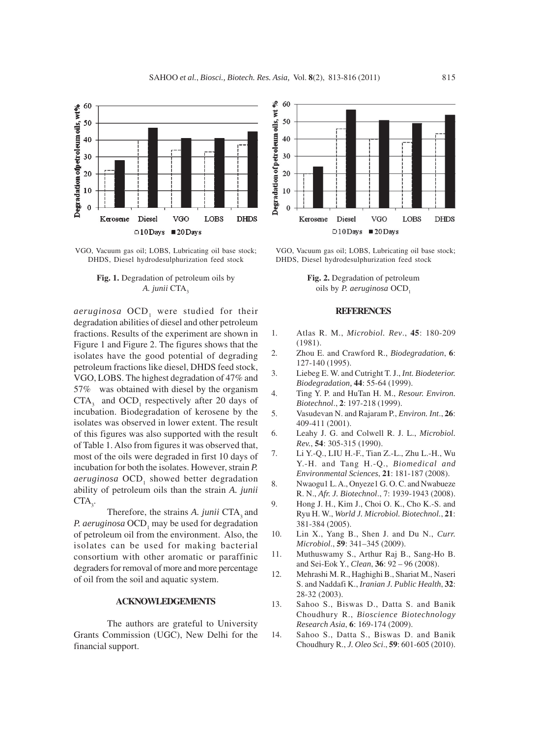

VGO, Vacuum gas oil; LOBS, Lubricating oil base stock; DHDS, Diesel hydrodesulphurization feed stock



aeruginosa OCD<sub>1</sub> were studied for their degradation abilities of diesel and other petroleum fractions. Results of the experiment are shown in Figure 1 and Figure 2. The figures shows that the isolates have the good potential of degrading petroleum fractions like diesel, DHDS feed stock, VGO, LOBS. The highest degradation of 47% and 57% was obtained with diesel by the organism  $CTA<sub>3</sub>$  and  $OCD<sub>1</sub>$  respectively after 20 days of incubation. Biodegradation of kerosene by the isolates was observed in lower extent. The result of this figures was also supported with the result of Table 1. Also from figures it was observed that, most of the oils were degraded in first 10 days of incubation for both the isolates. However, strain *P.* aeruginosa OCD<sub>1</sub> showed better degradation ability of petroleum oils than the strain *A. junii*  $CTA_{3}$ .

Therefore, the strains *A. junii* CTA<sub>2</sub> and P. aeruginosa OCD<sub>1</sub> may be used for degradation of petroleum oil from the environment. Also, the isolates can be used for making bacterial consortium with other aromatic or paraffinic degraders for removal of more and more percentage of oil from the soil and aquatic system.

#### **ACKNOWLEDGEMENTS**

The authors are grateful to University Grants Commission (UGC), New Delhi for the financial support.



VGO, Vacuum gas oil; LOBS, Lubricating oil base stock; DHDS, Diesel hydrodesulphurization feed stock

**Fig. 2.** Degradation of petroleum oils by *P. aeruginosa* OCD<sub>1</sub>

#### **REFERENCES**

- 1. Atlas R. M., *Microbiol. Rev*., **45**: 180-209 (1981).
- 2. Zhou E. and Crawford R., *Biodegradation*, **6**: 127-140 (1995).
- 3. Liebeg E. W. and Cutright T. J., *Int. Biodeterior. Biodegradation,* **44**: 55-64 (1999).
- 4. Ting Y. P. and HuTan H. M., *Resour. Environ. Biotechnol*., **2**: 197-218 (1999).
- 5. Vasudevan N. and Rajaram P., *Environ. Int*., **26**: 409-411 (2001).
- 6. Leahy J. G. and Colwell R. J. L., *Microbiol. Rev.*, **54**: 305-315 (1990).
- 7. Li Y.-Q., LIU H.-F., Tian Z.-L., Zhu L.-H., Wu Y.-H. and Tang H.-Q., *Biomedical and Environmental Sciences*, **21**: 181-187 (2008).
- 8. Nwaogu1 L. A., Onyeze1 G. O. C. and Nwabueze R. N., *Afr. J. Biotechnol*., 7: 1939-1943 (2008).
- 9. Hong J. H., Kim J., Choi O. K., Cho K.-S. and Ryu H. W., *World J. Microbiol. Biotechnol.*, **21**: 381-384 (2005).
- 10. Lin X., Yang B., Shen J. and Du N., *Curr. Microbiol*., **59**: 341–345 (2009).
- 11. Muthuswamy S., Arthur Raj B., Sang-Ho B. and Sei-Eok Y., *Clean*, **36**: 92 – 96 (2008).
- 12. Mehrashi M. R., Haghighi B., Shariat M., Naseri S. and Naddafi K., *Iranian J. Public Health*, **32**: 28-32 (2003).
- 13. Sahoo S., Biswas D., Datta S. and Banik Choudhury R., *Bioscience Biotechnology Research Asia*, **6**: 169-174 (2009).
- 14. Sahoo S., Datta S., Biswas D. and Banik Choudhury R., *J. Oleo Sci*., **59**: 601-605 (2010).